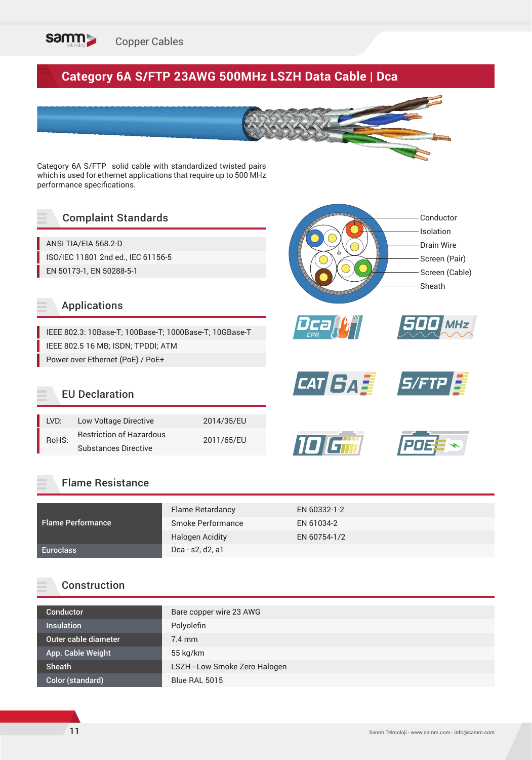

# **Category 6A S/FTP 23AWG 500MHz LSZH Data Cable | Dca**

Category 6A S/FTP solid cable with standardized twisted pairs which is used for ethernet applications that require up to 500 MHz performance specifications.

# Complaint Standards

ANSI TIA/EIA 568.2-D ISO/IEC 11801 2nd ed., IEC 61156-5 EN 50173-1, EN 50288-5-1

### Applications

IEEE 802.3: 10Base-T; 100Base-T; 1000Base-T; 10GBase-T IEEE 802.5 16 MB; ISDN; TPDDI; ATM Power over Ethernet (PoE) / PoE+

### EU Declaration

| LVD:  | Low Voltage Directive           | 2014/35/EU |
|-------|---------------------------------|------------|
| RoHS: | <b>Restriction of Hazardous</b> |            |
|       | <b>Substances Directive</b>     | 2011/65/EU |

### Flame Resistance

|                          | Flame Retardancy       | EN 60332-1-2 |
|--------------------------|------------------------|--------------|
| <b>Flame Performance</b> | Smoke Performance      | EN 61034-2   |
|                          | <b>Halogen Acidity</b> | EN 60754-1/2 |
| <b>Euroclass</b>         | Dca - s2, d2, a1       |              |

## Construction

| Bare copper wire 23 AWG       |
|-------------------------------|
| Polyolefin                    |
| $7.4$ mm                      |
| $55$ kg/km                    |
| LSZH - Low Smoke Zero Halogen |
| Blue RAL 5015                 |
|                               |

Conductor Isolation Drain Wire Screen (Pair) Screen (Cable)

Sheath

*CAT <i>SAE* S/FTP

*Dca CPR*

ומו

*500 MHz*